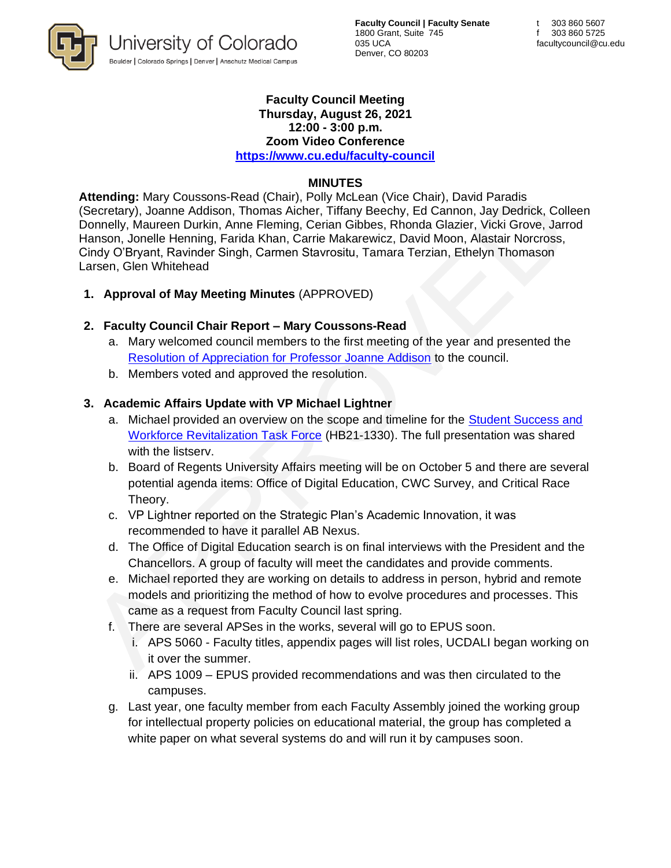

**Faculty Council | Faculty Senate** 1800 Grant, Suite 745 035 UCA Denver, CO 80203

#### **Faculty Council Meeting Thursday, August 26, 2021 12:00 - 3:00 p.m.**

**Zoom Video Conference <https://www.cu.edu/faculty-council>**

### **MINUTES**

**Attending:** Mary Coussons-Read (Chair), Polly McLean (Vice Chair), David Paradis (Secretary), Joanne Addison, Thomas Aicher, Tiffany Beechy, Ed Cannon, Jay Dedrick, Colleen Donnelly, Maureen Durkin, Anne Fleming, Cerian Gibbes, Rhonda Glazier, Vicki Grove, Jarrod Hanson, Jonelle Henning, Farida Khan, Carrie Makarewicz, David Moon, Alastair Norcross, Cindy O'Bryant, Ravinder Singh, Carmen Stavrositu, Tamara Terzian, Ethelyn Thomason Larsen, Glen Whitehead

**1. Approval of May Meeting Minutes** (APPROVED)

## **2. Faculty Council Chair Report – Mary Coussons-Read**

- a. Mary welcomed council members to the first meeting of the year and presented the [Resolution of Appreciation for Professor Joanne Addison](https://www.cu.edu/doc/fc-resolution-appreciation-joanne-addisonpdf) to the council.
- b. Members voted and approved the resolution.

### **3. Academic Affairs Update with VP Michael Lightner**

- a. Michael provided an overview on the scope and timeline for the [Student Success and](https://cdhe.colorado.gov/higher-education-student-success-legislation-hb21-1330-authorizes-federal-american-rescue-plan)  [Workforce Revitalization Task Force](https://cdhe.colorado.gov/higher-education-student-success-legislation-hb21-1330-authorizes-federal-american-rescue-plan) (HB21-1330). The full presentation was shared with the listserv.
- b. Board of Regents University Affairs meeting will be on October 5 and there are several potential agenda items: Office of Digital Education, CWC Survey, and Critical Race Theory.
- c. VP Lightner reported on the Strategic Plan's Academic Innovation, it was recommended to have it parallel AB Nexus.
- d. The Office of Digital Education search is on final interviews with the President and the Chancellors. A group of faculty will meet the candidates and provide comments.
- e. Michael reported they are working on details to address in person, hybrid and remote models and prioritizing the method of how to evolve procedures and processes. This came as a request from Faculty Council last spring.
- f. There are several APSes in the works, several will go to EPUS soon.
	- i. APS 5060 Faculty titles, appendix pages will list roles, UCDALI began working on it over the summer.
	- ii. APS 1009 EPUS provided recommendations and was then circulated to the campuses.
- g. Last year, one faculty member from each Faculty Assembly joined the working group for intellectual property policies on educational material, the group has completed a white paper on what several systems do and will run it by campuses soon.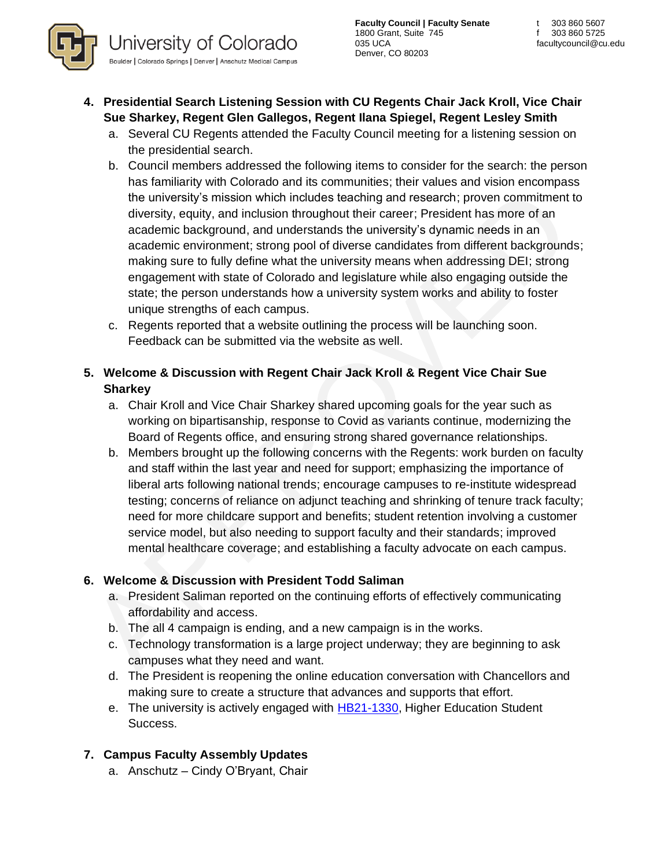- **4. Presidential Search Listening Session with CU Regents Chair Jack Kroll, Vice Chair Sue Sharkey, Regent Glen Gallegos, Regent Ilana Spiegel, Regent Lesley Smith**
	- a. Several CU Regents attended the Faculty Council meeting for a listening session on the presidential search.
	- b. Council members addressed the following items to consider for the search: the person has familiarity with Colorado and its communities; their values and vision encompass the university's mission which includes teaching and research; proven commitment to diversity, equity, and inclusion throughout their career; President has more of an academic background, and understands the university's dynamic needs in an academic environment; strong pool of diverse candidates from different backgrounds; making sure to fully define what the university means when addressing DEI; strong engagement with state of Colorado and legislature while also engaging outside the state; the person understands how a university system works and ability to foster unique strengths of each campus.
	- c. Regents reported that a website outlining the process will be launching soon. Feedback can be submitted via the website as well.
- **5. Welcome & Discussion with Regent Chair Jack Kroll & Regent Vice Chair Sue Sharkey** 
	- a. Chair Kroll and Vice Chair Sharkey shared upcoming goals for the year such as working on bipartisanship, response to Covid as variants continue, modernizing the Board of Regents office, and ensuring strong shared governance relationships.
	- b. Members brought up the following concerns with the Regents: work burden on faculty and staff within the last year and need for support; emphasizing the importance of liberal arts following national trends; encourage campuses to re-institute widespread testing; concerns of reliance on adjunct teaching and shrinking of tenure track faculty; need for more childcare support and benefits; student retention involving a customer service model, but also needing to support faculty and their standards; improved mental healthcare coverage; and establishing a faculty advocate on each campus.

# **6. Welcome & Discussion with President Todd Saliman**

- a. President Saliman reported on the continuing efforts of effectively communicating affordability and access.
- b. The all 4 campaign is ending, and a new campaign is in the works.
- c. Technology transformation is a large project underway; they are beginning to ask campuses what they need and want.
- d. The President is reopening the online education conversation with Chancellors and making sure to create a structure that advances and supports that effort.
- e. The university is actively engaged with [HB21-1330,](http://leg.colorado.gov/bills/hb21-1330) Higher Education Student Success.

# **7. Campus Faculty Assembly Updates**

a. Anschutz – Cindy O'Bryant, Chair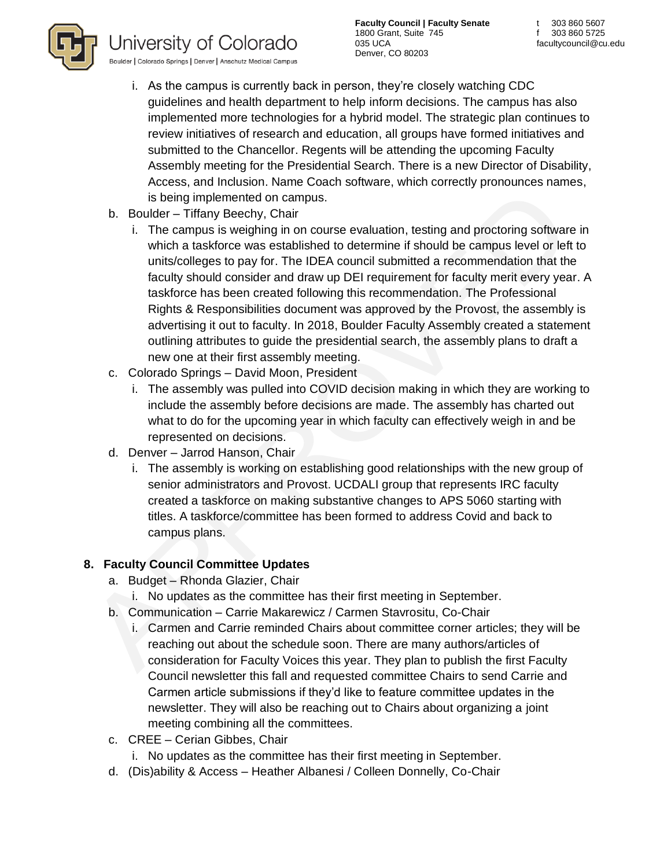

**Faculty Council | Faculty Senate** 1800 Grant, Suite 745 035 UCA Denver, CO 80203

- i. As the campus is currently back in person, they're closely watching CDC guidelines and health department to help inform decisions. The campus has also implemented more technologies for a hybrid model. The strategic plan continues to review initiatives of research and education, all groups have formed initiatives and submitted to the Chancellor. Regents will be attending the upcoming Faculty Assembly meeting for the Presidential Search. There is a new Director of Disability, Access, and Inclusion. Name Coach software, which correctly pronounces names, is being implemented on campus.
- b. Boulder Tiffany Beechy, Chair
	- i. The campus is weighing in on course evaluation, testing and proctoring software in which a taskforce was established to determine if should be campus level or left to units/colleges to pay for. The IDEA council submitted a recommendation that the faculty should consider and draw up DEI requirement for faculty merit every year. A taskforce has been created following this recommendation. The Professional Rights & Responsibilities document was approved by the Provost, the assembly is advertising it out to faculty. In 2018, Boulder Faculty Assembly created a statement outlining attributes to guide the presidential search, the assembly plans to draft a new one at their first assembly meeting.
- c. Colorado Springs David Moon, President
	- i. The assembly was pulled into COVID decision making in which they are working to include the assembly before decisions are made. The assembly has charted out what to do for the upcoming year in which faculty can effectively weigh in and be represented on decisions.
- d. Denver Jarrod Hanson, Chair
	- i. The assembly is working on establishing good relationships with the new group of senior administrators and Provost. UCDALI group that represents IRC faculty created a taskforce on making substantive changes to APS 5060 starting with titles. A taskforce/committee has been formed to address Covid and back to campus plans.

# **8. Faculty Council Committee Updates**

- a. Budget Rhonda Glazier, Chair
	- i. No updates as the committee has their first meeting in September.
- b. Communication Carrie Makarewicz / Carmen Stavrositu, Co-Chair
	- i. Carmen and Carrie reminded Chairs about committee corner articles; they will be reaching out about the schedule soon. There are many authors/articles of consideration for Faculty Voices this year. They plan to publish the first Faculty Council newsletter this fall and requested committee Chairs to send Carrie and Carmen article submissions if they'd like to feature committee updates in the newsletter. They will also be reaching out to Chairs about organizing a joint meeting combining all the committees.
- c. CREE Cerian Gibbes, Chair
	- i. No updates as the committee has their first meeting in September.
- d. (Dis)ability & Access Heather Albanesi / Colleen Donnelly, Co-Chair